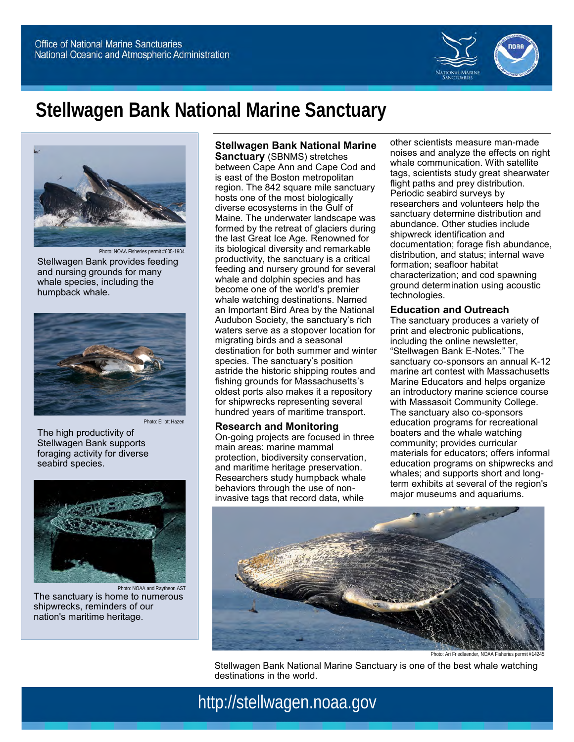

# **Stellwagen Bank National Marine Sanctuary**



Stellwagen Bank provides feeding and nursing grounds for many whale species, including the humpback whale.



The high productivity of Stellwagen Bank supports foraging activity for diverse seabird species.



Photo: NOAA and Raytheon AST The sanctuary is home to numerous shipwrecks, reminders of our nation's maritime heritage.

**Stellwagen Bank National Marine Sanctuary** (SBNMS) stretches

between Cape Ann and Cape Cod and is east of the Boston metropolitan region. The 842 square mile sanctuary hosts one of the most biologically diverse ecosystems in the Gulf of Maine. The underwater landscape was formed by the retreat of glaciers during the last Great Ice Age. Renowned for its biological diversity and remarkable productivity, the sanctuary is a critical feeding and nursery ground for several whale and dolphin species and has become one of the world's premier whale watching destinations. Named an Important Bird Area by the National Audubon Society, the sanctuary's rich waters serve as a stopover location for migrating birds and a seasonal destination for both summer and winter species. The sanctuary's position astride the historic shipping routes and fishing grounds for Massachusetts's oldest ports also makes it a repository for shipwrecks representing several hundred years of maritime transport.

#### **Research and Monitoring**

On-going projects are focused in three main areas: marine mammal protection, biodiversity conservation, and maritime heritage preservation. Researchers study humpback whale behaviors through the use of noninvasive tags that record data, while

other scientists measure man-made noises and analyze the effects on right whale communication. With satellite tags, scientists study great shearwater flight paths and prey distribution. Periodic seabird surveys by researchers and volunteers help the sanctuary determine distribution and abundance. Other studies include shipwreck identification and documentation; forage fish abundance, distribution, and status; internal wave formation; seafloor habitat characterization; and cod spawning ground determination using acoustic technologies.

#### **Education and Outreach**

The sanctuary produces a variety of print and electronic publications, including the online newsletter, "Stellwagen Bank E-Notes." The sanctuary co-sponsors an annual K-12 marine art contest with Massachusetts Marine Educators and helps organize an introductory marine science course with Massasoit Community College. The sanctuary also co-sponsors education programs for recreational boaters and the whale watching community; provides curricular materials for educators; offers informal education programs on shipwrecks and whales; and supports short and longterm exhibits at several of the region's major museums and aquariums.



Photo: Ari Friedlaender, NOAA Fisheries permit #1424

Stellwagen Bank National Marine Sanctuary is one of the best whale watching destinations in the world.

http://stellwagen.noaa.gov